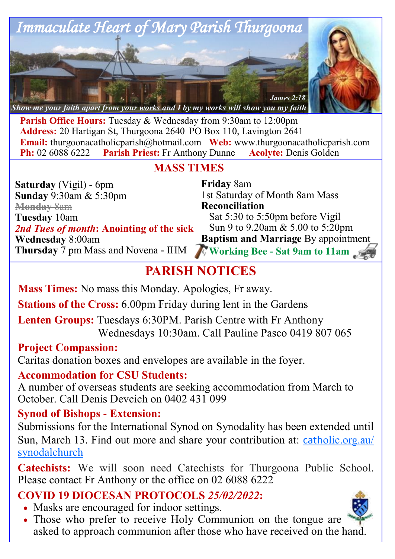

**Parish Office Hours:** Tuesday & Wednesday from 9:30am to 12:00pm **Address:** 20 Hartigan St, Thurgoona 2640 PO Box 110, Lavington 2641 **Email:** thurgoonacatholicparish@hotmail.com Web: www.thurgoonacatholicparish.com<br> **Ph:** 02 6088 6222 Parish Priest: Fr Anthony Dunne Acolyte: Denis Golden **Parish Priest:** Fr Anthony Dunne **Acolyte:** Denis Golden

## **MASS TIMES**

**Saturday** (Vigil) - 6pm **Sunday** 9:30am & 5:30pm **Monday** 8am **Tuesday** 10am *2nd Tues of month***: Anointing of the sick Wednesday** 8:00am **Thursday** 7 pm Mass and Novena - IHM

**Friday** 8am 1st Saturday of Month 8am Mass **Reconciliation**  Sat 5:30 to 5:50pm before Vigil Sun 9 to 9.20am & 5.00 to 5:20pm **Baptism and Marriage** By appointment  **Working Bee - Sat 9am to 11am**

# **PARISH NOTICES**

**Mass Times:** No mass this Monday. Apologies, Fr away.

**Stations of the Cross:** 6.00pm Friday during lent in the Gardens

**Lenten Groups:** Tuesdays 6:30PM. Parish Centre with Fr Anthony Wednesdays 10:30am. Call Pauline Pasco 0419 807 065

## **Project Compassion:**

Caritas donation boxes and envelopes are available in the foyer.

# **Accommodation for CSU Students:**

A number of overseas students are seeking accommodation from March to October. Call Denis Devcich on 0402 431 099

# **Synod of Bishops - Extension:**

Submissions for the International Synod on Synodality has been extended until Sun, March 13. Find out more and share your contribution at: cath[olic.org.au/](https://catholic.org.au/synodalchurch) [synodalchurch](https://catholic.org.au/synodalchurch)

**Catechists:** We will soon need Catechists for Thurgoona Public School. Please contact Fr Anthony or the office on 02 6088 6222

# **COVID 19 DIOCESAN PROTOCOLS** *25/02/2022***:**

- Masks are encouraged for indoor settings.
- Those who prefer to receive Holy Communion on the tongue are asked to approach communion after those who have received on the hand.

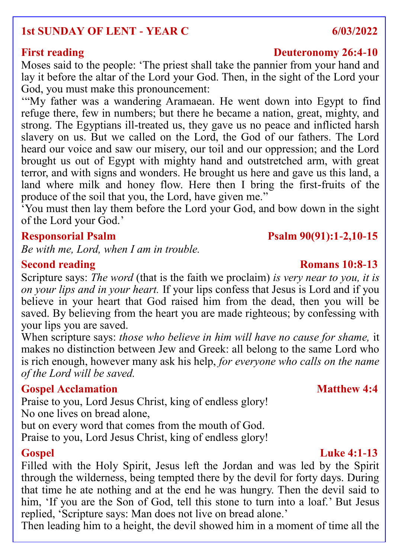### **1st SUNDAY OF LENT - YEAR C 6/03/2022**

Moses said to the people: 'The priest shall take the pannier from your hand and lay it before the altar of the Lord your God. Then, in the sight of the Lord your God, you must make this pronouncement:

'"My father was a wandering Aramaean. He went down into Egypt to find refuge there, few in numbers; but there he became a nation, great, mighty, and strong. The Egyptians ill-treated us, they gave us no peace and inflicted harsh slavery on us. But we called on the Lord, the God of our fathers. The Lord heard our voice and saw our misery, our toil and our oppression; and the Lord brought us out of Egypt with mighty hand and outstretched arm, with great terror, and with signs and wonders. He brought us here and gave us this land, a land where milk and honey flow. Here then I bring the first-fruits of the produce of the soil that you, the Lord, have given me."

'You must then lay them before the Lord your God, and bow down in the sight of the Lord your God.'

#### **Responsorial Psalm Psalm 90(91):1-2,10-15**

*Be with me, Lord, when I am in trouble.*

Scripture says: *The word* (that is the faith we proclaim) *is very near to you, it is on your lips and in your heart.* If your lips confess that Jesus is Lord and if you believe in your heart that God raised him from the dead, then you will be saved. By believing from the heart you are made righteous; by confessing with your lips you are saved.

When scripture says: *those who believe in him will have no cause for shame,* it makes no distinction between Jew and Greek: all belong to the same Lord who is rich enough, however many ask his help, *for everyone who calls on the name of the Lord will be saved.*

### **Gospel Acclamation Matthew 4:4**

Praise to you, Lord Jesus Christ, king of endless glory! No one lives on bread alone, but on every word that comes from the mouth of God. Praise to you, Lord Jesus Christ, king of endless glory!

#### **Gospel Luke 4:1-13**

Filled with the Holy Spirit, Jesus left the Jordan and was led by the Spirit through the wilderness, being tempted there by the devil for forty days. During that time he ate nothing and at the end he was hungry. Then the devil said to him, 'If you are the Son of God, tell this stone to turn into a loaf.' But Jesus replied, 'Scripture says: Man does not live on bread alone.'

Then leading him to a height, the devil showed him in a moment of time all the

### **First reading Deuteronomy 26:4-10**

### **Second reading Romans 10:8-13**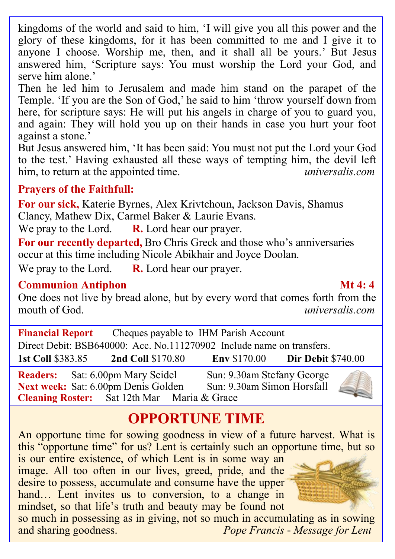kingdoms of the world and said to him, 'I will give you all this power and the glory of these kingdoms, for it has been committed to me and I give it to anyone I choose. Worship me, then, and it shall all be yours.' But Jesus answered him, 'Scripture says: You must worship the Lord your God, and serve him alone.'

Then he led him to Jerusalem and made him stand on the parapet of the Temple. 'If you are the Son of God,' he said to him 'throw yourself down from here, for scripture says: He will put his angels in charge of you to guard you, and again: They will hold you up on their hands in case you hurt your foot against a stone.'

But Jesus answered him, 'It has been said: You must not put the Lord your God to the test.' Having exhausted all these ways of tempting him, the devil left him, to return at the appointed time. *universalis.com*

## **Prayers of the Faithfull:**

**For our sick,** Katerie Byrnes, Alex Krivtchoun, Jackson Davis, Shamus Clancy, Mathew Dix, Carmel Baker & Laurie Evans.

We pray to the Lord. **R.** Lord hear our prayer.

**For our recently departed,** Bro Chris Greck and those who's anniversaries occur at this time including Nicole Abikhair and Joyce Doolan.

We pray to the Lord. **R.** Lord hear our prayer.

### **Communion Antiphon Mt 4: 4**

## One does not live by bread alone, but by every word that comes forth from the mouth of God. *universalis.com*

|                                                                       |  | <b>Financial Report</b> Cheques payable to IHM Parish Account |  |                            |                                        |               |
|-----------------------------------------------------------------------|--|---------------------------------------------------------------|--|----------------------------|----------------------------------------|---------------|
|                                                                       |  |                                                               |  |                            |                                        |               |
| Direct Debit: BSB640000: Acc. No.111270902 Include name on transfers. |  |                                                               |  |                            |                                        |               |
|                                                                       |  | <b>1st Coll \$383.85 2nd Coll \$170.80</b>                    |  |                            | <b>Env \$170.00 Dir Debit \$740.00</b> |               |
|                                                                       |  | <b>Readers:</b> Sat: 6.00pm Mary Seidel                       |  | Sun: 9.30am Stefany George |                                        |               |
|                                                                       |  | Next week: Sat: 6.00pm Denis Golden                           |  | Sun: 9.30am Simon Horsfall |                                        | $\Rightarrow$ |
| <b>Cleaning Roster:</b> Sat 12th Mar Maria & Grace                    |  |                                                               |  |                            |                                        |               |

# **OPPORTUNE TIME**

An opportune time for sowing goodness in view of a future harvest. What is this "opportune time" for us? Lent is certainly such an opportune time, but so

is our entire existence, of which Lent is in some way an image. All too often in our lives, greed, pride, and the desire to possess, accumulate and consume have the upper hand... Lent invites us to conversion, to a change in mindset, so that life's truth and beauty may be found not



so much in possessing as in giving, not so much in accumulating as in sowing<br>and sharing goodness.<br>*Pope Francis - Message for Lent* and sharing goodness. *Pope Francis - Message for Lent*